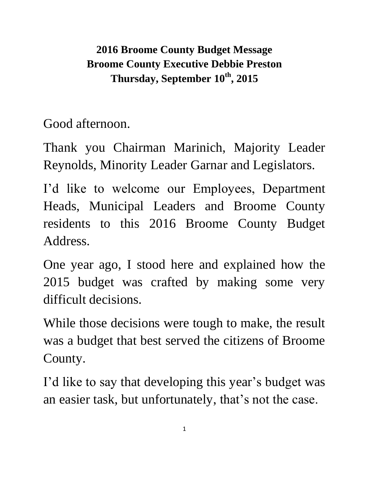**2016 Broome County Budget Message Broome County Executive Debbie Preston Thursday, September 10th, 2015**

Good afternoon.

Thank you Chairman Marinich, Majority Leader Reynolds, Minority Leader Garnar and Legislators.

I'd like to welcome our Employees, Department Heads, Municipal Leaders and Broome County residents to this 2016 Broome County Budget Address.

One year ago, I stood here and explained how the 2015 budget was crafted by making some very difficult decisions.

While those decisions were tough to make, the result was a budget that best served the citizens of Broome County.

I'd like to say that developing this year's budget was an easier task, but unfortunately, that's not the case.

1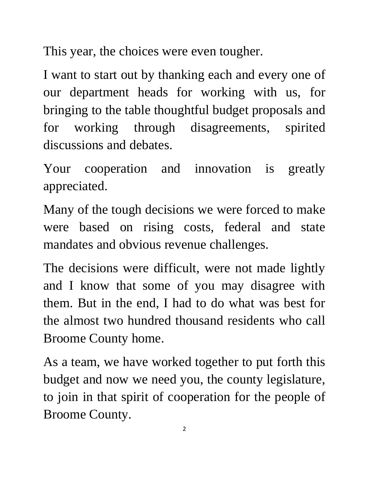This year, the choices were even tougher.

I want to start out by thanking each and every one of our department heads for working with us, for bringing to the table thoughtful budget proposals and for working through disagreements, spirited discussions and debates.

Your cooperation and innovation is greatly appreciated.

Many of the tough decisions we were forced to make were based on rising costs, federal and state mandates and obvious revenue challenges.

The decisions were difficult, were not made lightly and I know that some of you may disagree with them. But in the end, I had to do what was best for the almost two hundred thousand residents who call Broome County home.

As a team, we have worked together to put forth this budget and now we need you, the county legislature, to join in that spirit of cooperation for the people of Broome County.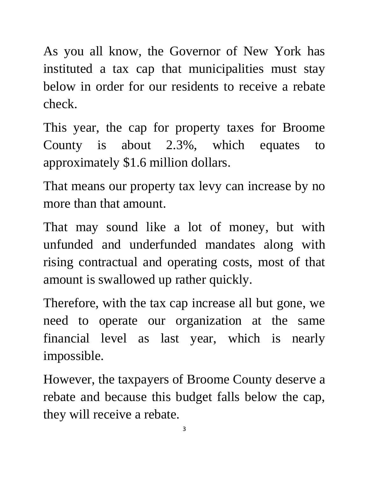As you all know, the Governor of New York has instituted a tax cap that municipalities must stay below in order for our residents to receive a rebate check.

This year, the cap for property taxes for Broome County is about 2.3%, which equates to approximately \$1.6 million dollars.

That means our property tax levy can increase by no more than that amount.

That may sound like a lot of money, but with unfunded and underfunded mandates along with rising contractual and operating costs, most of that amount is swallowed up rather quickly.

Therefore, with the tax cap increase all but gone, we need to operate our organization at the same financial level as last year, which is nearly impossible.

However, the taxpayers of Broome County deserve a rebate and because this budget falls below the cap, they will receive a rebate.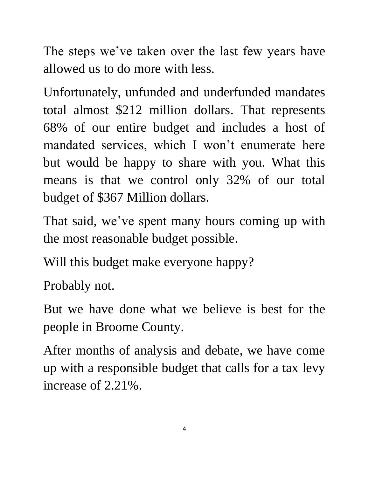The steps we've taken over the last few years have allowed us to do more with less.

Unfortunately, unfunded and underfunded mandates total almost \$212 million dollars. That represents 68% of our entire budget and includes a host of mandated services, which I won't enumerate here but would be happy to share with you. What this means is that we control only 32% of our total budget of \$367 Million dollars.

That said, we've spent many hours coming up with the most reasonable budget possible.

Will this budget make everyone happy?

Probably not.

But we have done what we believe is best for the people in Broome County.

After months of analysis and debate, we have come up with a responsible budget that calls for a tax levy increase of 2.21%.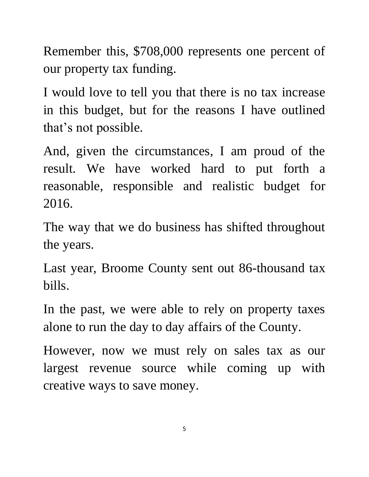Remember this, \$708,000 represents one percent of our property tax funding.

I would love to tell you that there is no tax increase in this budget, but for the reasons I have outlined that's not possible.

And, given the circumstances, I am proud of the result. We have worked hard to put forth a reasonable, responsible and realistic budget for 2016.

The way that we do business has shifted throughout the years.

Last year, Broome County sent out 86-thousand tax bills.

In the past, we were able to rely on property taxes alone to run the day to day affairs of the County.

However, now we must rely on sales tax as our largest revenue source while coming up with creative ways to save money.

5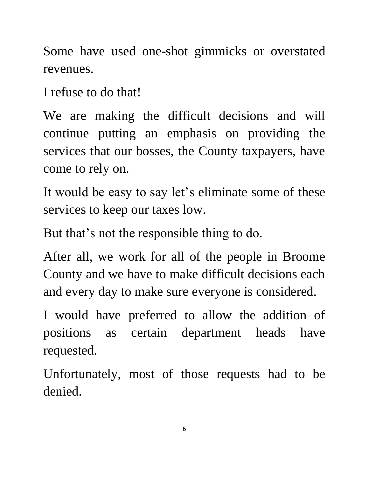Some have used one-shot gimmicks or overstated revenues.

I refuse to do that!

We are making the difficult decisions and will continue putting an emphasis on providing the services that our bosses, the County taxpayers, have come to rely on.

It would be easy to say let's eliminate some of these services to keep our taxes low.

But that's not the responsible thing to do.

After all, we work for all of the people in Broome County and we have to make difficult decisions each and every day to make sure everyone is considered.

I would have preferred to allow the addition of positions as certain department heads have requested.

Unfortunately, most of those requests had to be denied.

6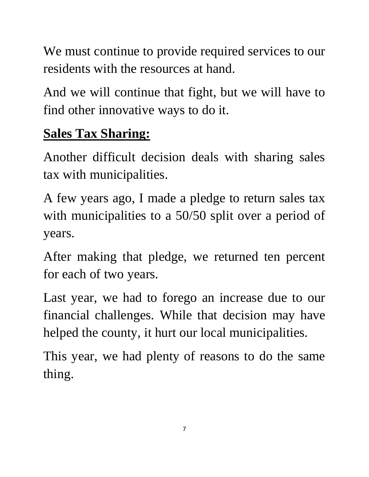We must continue to provide required services to our residents with the resources at hand.

And we will continue that fight, but we will have to find other innovative ways to do it.

## **Sales Tax Sharing:**

Another difficult decision deals with sharing sales tax with municipalities.

A few years ago, I made a pledge to return sales tax with municipalities to a 50/50 split over a period of years.

After making that pledge, we returned ten percent for each of two years.

Last year, we had to forego an increase due to our financial challenges. While that decision may have helped the county, it hurt our local municipalities.

This year, we had plenty of reasons to do the same thing.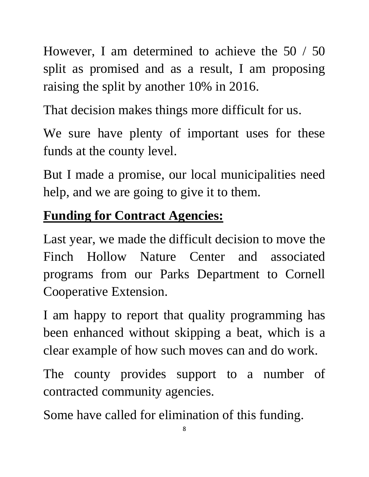However, I am determined to achieve the 50 / 50 split as promised and as a result, I am proposing raising the split by another 10% in 2016.

That decision makes things more difficult for us.

We sure have plenty of important uses for these funds at the county level.

But I made a promise, our local municipalities need help, and we are going to give it to them.

#### **Funding for Contract Agencies:**

Last year, we made the difficult decision to move the Finch Hollow Nature Center and associated programs from our Parks Department to Cornell Cooperative Extension.

I am happy to report that quality programming has been enhanced without skipping a beat, which is a clear example of how such moves can and do work.

The county provides support to a number of contracted community agencies.

Some have called for elimination of this funding.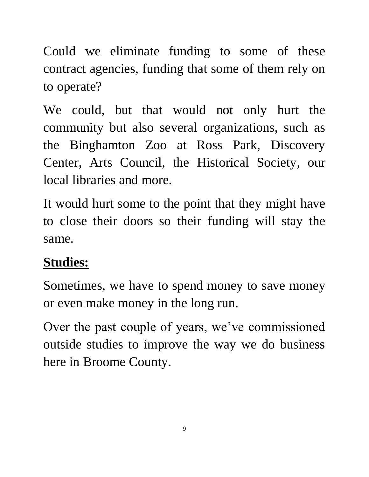Could we eliminate funding to some of these contract agencies, funding that some of them rely on to operate?

We could, but that would not only hurt the community but also several organizations, such as the Binghamton Zoo at Ross Park, Discovery Center, Arts Council, the Historical Society, our local libraries and more.

It would hurt some to the point that they might have to close their doors so their funding will stay the same.

#### **Studies:**

Sometimes, we have to spend money to save money or even make money in the long run.

Over the past couple of years, we've commissioned outside studies to improve the way we do business here in Broome County.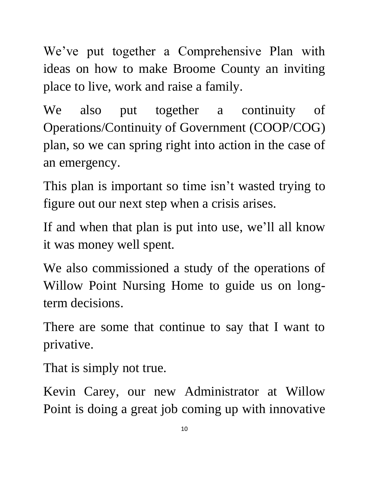We've put together a Comprehensive Plan with ideas on how to make Broome County an inviting place to live, work and raise a family.

We also put together a continuity of Operations/Continuity of Government (COOP/COG) plan, so we can spring right into action in the case of an emergency.

This plan is important so time isn't wasted trying to figure out our next step when a crisis arises.

If and when that plan is put into use, we'll all know it was money well spent.

We also commissioned a study of the operations of Willow Point Nursing Home to guide us on longterm decisions.

There are some that continue to say that I want to privative.

That is simply not true.

Kevin Carey, our new Administrator at Willow Point is doing a great job coming up with innovative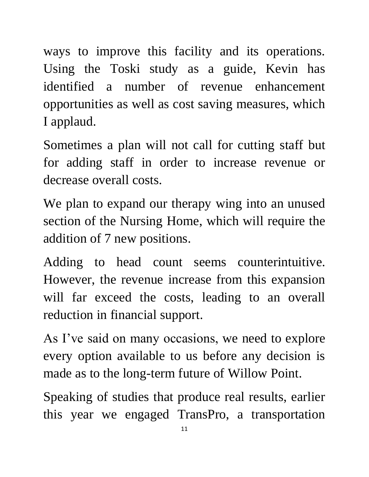ways to improve this facility and its operations. Using the Toski study as a guide, Kevin has identified a number of revenue enhancement opportunities as well as cost saving measures, which I applaud.

Sometimes a plan will not call for cutting staff but for adding staff in order to increase revenue or decrease overall costs.

We plan to expand our therapy wing into an unused section of the Nursing Home, which will require the addition of 7 new positions.

Adding to head count seems counterintuitive. However, the revenue increase from this expansion will far exceed the costs, leading to an overall reduction in financial support.

As I've said on many occasions, we need to explore every option available to us before any decision is made as to the long-term future of Willow Point.

Speaking of studies that produce real results, earlier this year we engaged TransPro, a transportation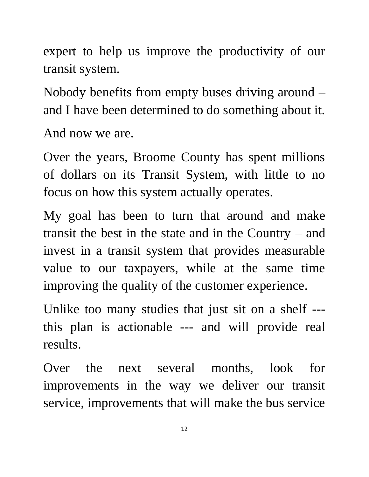expert to help us improve the productivity of our transit system.

Nobody benefits from empty buses driving around – and I have been determined to do something about it.

And now we are.

Over the years, Broome County has spent millions of dollars on its Transit System, with little to no focus on how this system actually operates.

My goal has been to turn that around and make transit the best in the state and in the Country – and invest in a transit system that provides measurable value to our taxpayers, while at the same time improving the quality of the customer experience.

Unlike too many studies that just sit on a shelf -- this plan is actionable --- and will provide real results.

Over the next several months, look for improvements in the way we deliver our transit service, improvements that will make the bus service

12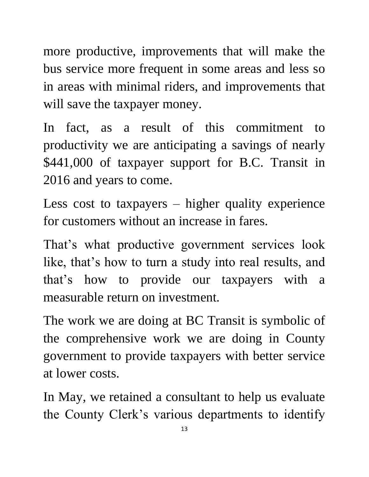more productive, improvements that will make the bus service more frequent in some areas and less so in areas with minimal riders, and improvements that will save the taxpayer money.

In fact, as a result of this commitment to productivity we are anticipating a savings of nearly \$441,000 of taxpayer support for B.C. Transit in 2016 and years to come.

Less cost to taxpayers – higher quality experience for customers without an increase in fares.

That's what productive government services look like, that's how to turn a study into real results, and that's how to provide our taxpayers with a measurable return on investment.

The work we are doing at BC Transit is symbolic of the comprehensive work we are doing in County government to provide taxpayers with better service at lower costs.

In May, we retained a consultant to help us evaluate the County Clerk's various departments to identify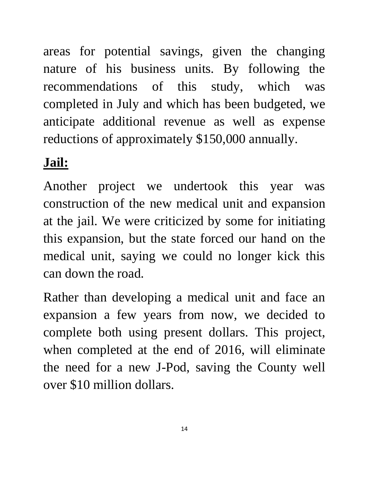areas for potential savings, given the changing nature of his business units. By following the recommendations of this study, which was completed in July and which has been budgeted, we anticipate additional revenue as well as expense reductions of approximately \$150,000 annually.

## **Jail:**

Another project we undertook this year was construction of the new medical unit and expansion at the jail. We were criticized by some for initiating this expansion, but the state forced our hand on the medical unit, saying we could no longer kick this can down the road.

Rather than developing a medical unit and face an expansion a few years from now, we decided to complete both using present dollars. This project, when completed at the end of 2016, will eliminate the need for a new J-Pod, saving the County well over \$10 million dollars.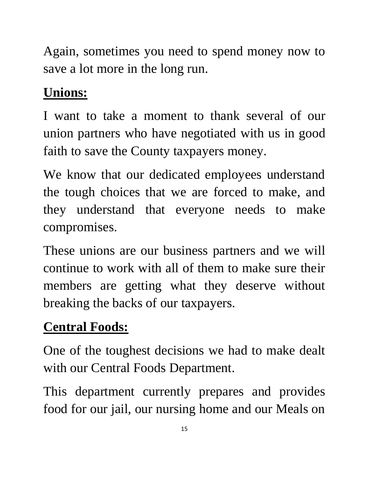Again, sometimes you need to spend money now to save a lot more in the long run.

# **Unions:**

I want to take a moment to thank several of our union partners who have negotiated with us in good faith to save the County taxpayers money.

We know that our dedicated employees understand the tough choices that we are forced to make, and they understand that everyone needs to make compromises.

These unions are our business partners and we will continue to work with all of them to make sure their members are getting what they deserve without breaking the backs of our taxpayers.

## **Central Foods:**

One of the toughest decisions we had to make dealt with our Central Foods Department.

This department currently prepares and provides food for our jail, our nursing home and our Meals on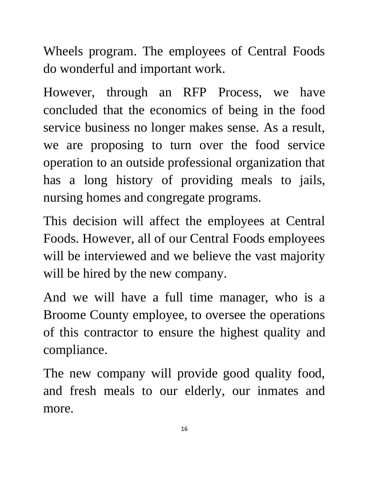Wheels program. The employees of Central Foods do wonderful and important work.

However, through an RFP Process, we have concluded that the economics of being in the food service business no longer makes sense. As a result, we are proposing to turn over the food service operation to an outside professional organization that has a long history of providing meals to jails, nursing homes and congregate programs.

This decision will affect the employees at Central Foods. However, all of our Central Foods employees will be interviewed and we believe the vast majority will be hired by the new company.

And we will have a full time manager, who is a Broome County employee, to oversee the operations of this contractor to ensure the highest quality and compliance.

The new company will provide good quality food, and fresh meals to our elderly, our inmates and more.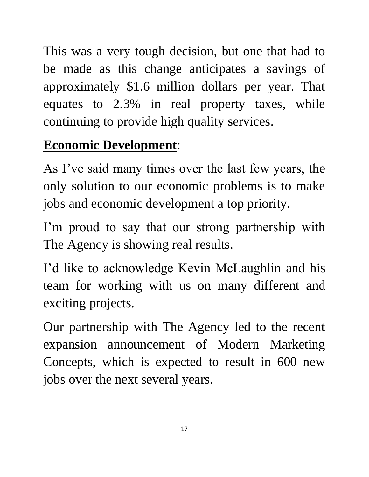This was a very tough decision, but one that had to be made as this change anticipates a savings of approximately \$1.6 million dollars per year. That equates to 2.3% in real property taxes, while continuing to provide high quality services.

#### **Economic Development**:

As I've said many times over the last few years, the only solution to our economic problems is to make jobs and economic development a top priority.

I'm proud to say that our strong partnership with The Agency is showing real results.

I'd like to acknowledge Kevin McLaughlin and his team for working with us on many different and exciting projects.

Our partnership with The Agency led to the recent expansion announcement of Modern Marketing Concepts, which is expected to result in 600 new jobs over the next several years.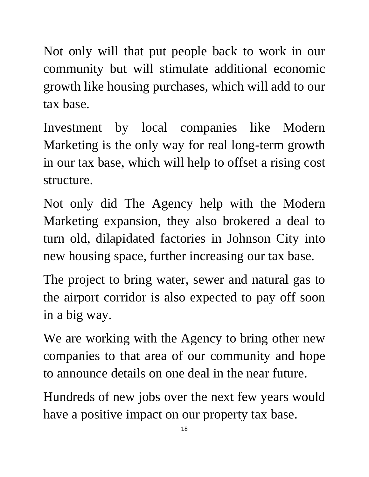Not only will that put people back to work in our community but will stimulate additional economic growth like housing purchases, which will add to our tax base.

Investment by local companies like Modern Marketing is the only way for real long-term growth in our tax base, which will help to offset a rising cost structure.

Not only did The Agency help with the Modern Marketing expansion, they also brokered a deal to turn old, dilapidated factories in Johnson City into new housing space, further increasing our tax base.

The project to bring water, sewer and natural gas to the airport corridor is also expected to pay off soon in a big way.

We are working with the Agency to bring other new companies to that area of our community and hope to announce details on one deal in the near future.

Hundreds of new jobs over the next few years would have a positive impact on our property tax base.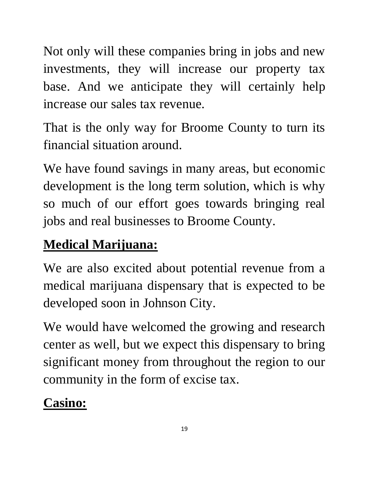Not only will these companies bring in jobs and new investments, they will increase our property tax base. And we anticipate they will certainly help increase our sales tax revenue.

That is the only way for Broome County to turn its financial situation around.

We have found savings in many areas, but economic development is the long term solution, which is why so much of our effort goes towards bringing real jobs and real businesses to Broome County.

# **Medical Marijuana:**

We are also excited about potential revenue from a medical marijuana dispensary that is expected to be developed soon in Johnson City.

We would have welcomed the growing and research center as well, but we expect this dispensary to bring significant money from throughout the region to our community in the form of excise tax.

# **Casino:**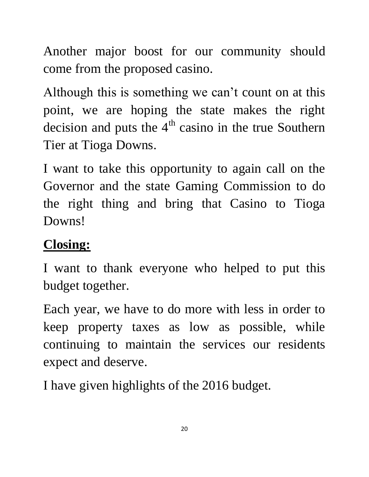Another major boost for our community should come from the proposed casino.

Although this is something we can't count on at this point, we are hoping the state makes the right decision and puts the  $4<sup>th</sup>$  casino in the true Southern Tier at Tioga Downs.

I want to take this opportunity to again call on the Governor and the state Gaming Commission to do the right thing and bring that Casino to Tioga Downs!

#### **Closing:**

I want to thank everyone who helped to put this budget together.

Each year, we have to do more with less in order to keep property taxes as low as possible, while continuing to maintain the services our residents expect and deserve.

I have given highlights of the 2016 budget.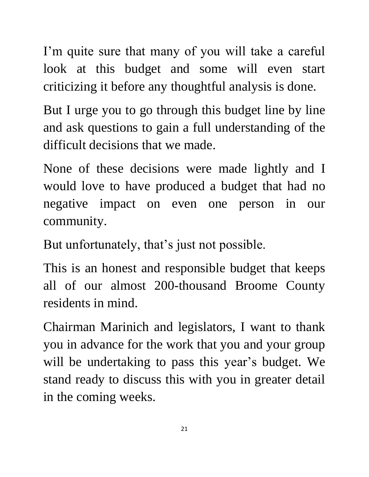I'm quite sure that many of you will take a careful look at this budget and some will even start criticizing it before any thoughtful analysis is done.

But I urge you to go through this budget line by line and ask questions to gain a full understanding of the difficult decisions that we made.

None of these decisions were made lightly and I would love to have produced a budget that had no negative impact on even one person in our community.

But unfortunately, that's just not possible.

This is an honest and responsible budget that keeps all of our almost 200-thousand Broome County residents in mind.

Chairman Marinich and legislators, I want to thank you in advance for the work that you and your group will be undertaking to pass this year's budget. We stand ready to discuss this with you in greater detail in the coming weeks.